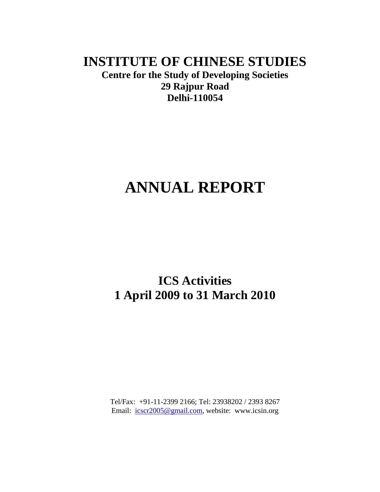## **INSTITUTE OF CHINESE STUDIES**

**Centre for the Study of Developing Societies 29 Rajpur Road Delhi-110054**

# **ANNUAL REPORT**

## **ICS Activities 1 April 2009 to 31 March 2010**

Tel/Fax: +91-11-2399 2166; Tel: 23938202 / 2393 8267 Email: [icscr2005@gmail.com,](mailto:icscr2005@gmail.com) website: www.icsin.org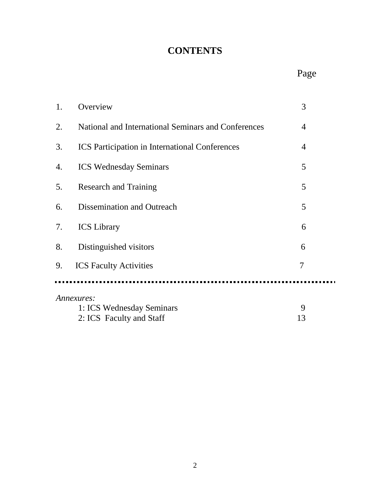## **CONTENTS**

| 1. | Overview                                              | 3              |  |
|----|-------------------------------------------------------|----------------|--|
| 2. | National and International Seminars and Conferences   | 4              |  |
| 3. | <b>ICS</b> Participation in International Conferences | 4              |  |
| 4. | <b>ICS Wednesday Seminars</b>                         | 5              |  |
| 5. | <b>Research and Training</b>                          | 5              |  |
| 6. | Dissemination and Outreach                            | 5              |  |
| 7. | <b>ICS</b> Library                                    | 6              |  |
| 8. | Distinguished visitors                                | 6              |  |
| 9. | <b>ICS Faculty Activities</b>                         | $\overline{7}$ |  |
|    |                                                       |                |  |
|    | Annexures:                                            |                |  |
|    | 1: ICS Wednesday Seminars                             | 9              |  |
|    | 2: ICS Faculty and Staff                              | 13             |  |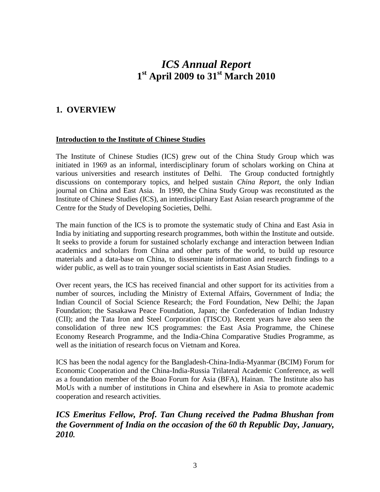## *ICS Annual Report* **1 st April 2009 to 31st March 2010**

### **1. OVERVIEW**

#### **Introduction to the Institute of Chinese Studies**

The Institute of Chinese Studies (ICS) grew out of the China Study Group which was initiated in 1969 as an informal, interdisciplinary forum of scholars working on China at various universities and research institutes of Delhi. The Group conducted fortnightly discussions on contemporary topics, and helped sustain *China Report*, the only Indian journal on China and East Asia. In 1990, the China Study Group was reconstituted as the Institute of Chinese Studies (ICS), an interdisciplinary East Asian research programme of the Centre for the Study of Developing Societies, Delhi.

The main function of the ICS is to promote the systematic study of China and East Asia in India by initiating and supporting research programmes, both within the Institute and outside. It seeks to provide a forum for sustained scholarly exchange and interaction between Indian academics and scholars from China and other parts of the world, to build up resource materials and a data-base on China, to disseminate information and research findings to a wider public, as well as to train younger social scientists in East Asian Studies.

Over recent years, the ICS has received financial and other support for its activities from a number of sources, including the Ministry of External Affairs, Government of India; the Indian Council of Social Science Research; the Ford Foundation, New Delhi; the Japan Foundation; the Sasakawa Peace Foundation, Japan; the Confederation of Indian Industry (CII); and the Tata Iron and Steel Corporation (TISCO). Recent years have also seen the consolidation of three new ICS programmes: the East Asia Programme, the Chinese Economy Research Programme, and the India-China Comparative Studies Programme, as well as the initiation of research focus on Vietnam and Korea.

ICS has been the nodal agency for the Bangladesh-China-India-Myanmar (BCIM) Forum for Economic Cooperation and the China-India-Russia Trilateral Academic Conference, as well as a foundation member of the Boao Forum for Asia (BFA), Hainan. The Institute also has MoUs with a number of institutions in China and elsewhere in Asia to promote academic cooperation and research activities.

### *ICS Emeritus Fellow, Prof. Tan Chung received the Padma Bhushan from the Government of India on the occasion of the 60 th Republic Day, January, 2010.*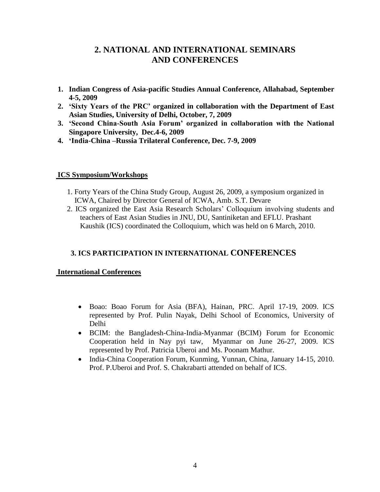### **2. NATIONAL AND INTERNATIONAL SEMINARS AND CONFERENCES**

- **1. Indian Congress of Asia-pacific Studies Annual Conference, Allahabad, September 4-5, 2009**
- **2. "Sixty Years of the PRC" organized in collaboration with the Department of East Asian Studies, University of Delhi, October, 7, 2009**
- **3. "Second China-South Asia Forum" organized in collaboration with the National Singapore University, Dec.4-6, 2009**
- **4. "India-China –Russia Trilateral Conference, Dec. 7-9, 2009**

#### **ICS Symposium/Workshops**

- 1. Forty Years of the China Study Group, August 26, 2009, a symposium organized in ICWA, Chaired by Director General of ICWA, Amb. S.T. Devare
- 2. ICS organized the East Asia Research Scholars" Colloquium involving students and teachers of East Asian Studies in JNU, DU, Santiniketan and EFLU. Prashant Kaushik (ICS) coordinated the Colloquium, which was held on 6 March, 2010.

### **3. ICS PARTICIPATION IN INTERNATIONAL CONFERENCES**

### **International Conferences**

- Boao: Boao Forum for Asia (BFA), Hainan, PRC. April 17-19, 2009. ICS represented by Prof. Pulin Nayak, Delhi School of Economics, University of Delhi
- BCIM: the Bangladesh-China-India-Myanmar (BCIM) Forum for Economic Cooperation held in Nay pyi taw, Myanmar on June 26-27, 2009. ICS represented by Prof. Patricia Uberoi and Ms. Poonam Mathur.
- India-China Cooperation Forum, Kunming, Yunnan, China, January 14-15, 2010. Prof. P.Uberoi and Prof. S. Chakrabarti attended on behalf of ICS.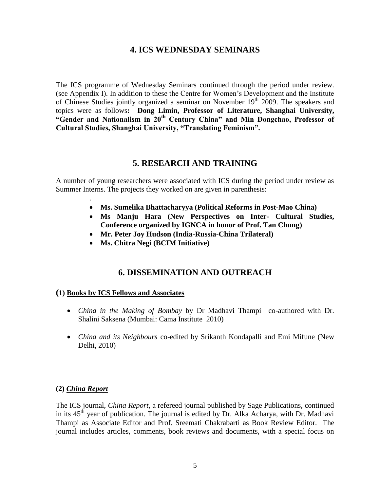### **4. ICS WEDNESDAY SEMINARS**

The ICS programme of Wednesday Seminars continued through the period under review. (see Appendix I). In addition to these the Centre for Women"s Development and the Institute of Chinese Studies jointly organized a seminar on November  $19<sup>th</sup>$  2009. The speakers and topics were as follows**: Dong Limin, Professor of Literature, Shanghai University, "Gender and Nationalism in 20th Century China" and Min Dongchao, Professor of Cultural Studies, Shanghai University, "Translating Feminism".**

### **5. RESEARCH AND TRAINING**

A number of young researchers were associated with ICS during the period under review as Summer Interns. The projects they worked on are given in parenthesis:

- **Ms. Sumelika Bhattacharyya (Political Reforms in Post-Mao China)**
- **Ms Manju Hara (New Perspectives on Inter- Cultural Studies, Conference organized by IGNCA in honor of Prof. Tan Chung)**
- **Mr. Peter Joy Hudson (India-Russia-China Trilateral)**
- **Ms. Chitra Negi (BCIM Initiative)**

### **6. DISSEMINATION AND OUTREACH**

#### **(1) Books by ICS Fellows and Associates**

- *China in the Making of Bombay* by Dr Madhavi Thampi co-authored with Dr. Shalini Saksena (Mumbai: Cama Institute 2010)
- *China and its Neighbours* co-edited by Srikanth Kondapalli and Emi Mifune (New Delhi, 2010)

#### **(2)** *China Report*

.

The ICS journal, *China Report*, a refereed journal published by Sage Publications, continued in its  $45<sup>th</sup>$  year of publication. The journal is edited by Dr. Alka Acharya, with Dr. Madhavi Thampi as Associate Editor and Prof. Sreemati Chakrabarti as Book Review Editor. The journal includes articles, comments, book reviews and documents, with a special focus on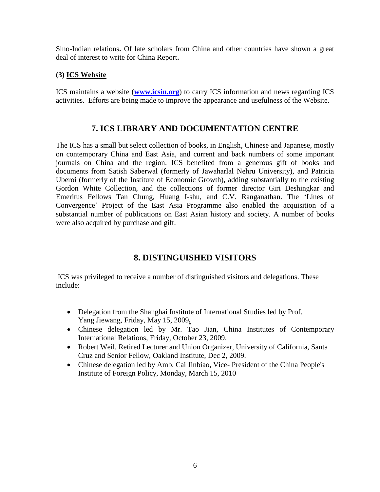Sino-Indian relations**.** Of late scholars from China and other countries have shown a great deal of interest to write for China Report**.**

### **(3) ICS Website**

ICS maintains a website (**[www.icsin.org](http://www.icsin.org/)**) to carry ICS information and news regarding ICS activities. Efforts are being made to improve the appearance and usefulness of the Website.

### **7. ICS LIBRARY AND DOCUMENTATION CENTRE**

The ICS has a small but select collection of books, in English, Chinese and Japanese, mostly on contemporary China and East Asia, and current and back numbers of some important journals on China and the region. ICS benefited from a generous gift of books and documents from Satish Saberwal (formerly of Jawaharlal Nehru University), and Patricia Uberoi (formerly of the Institute of Economic Growth), adding substantially to the existing Gordon White Collection, and the collections of former director Giri Deshingkar and Emeritus Fellows Tan Chung, Huang I-shu, and C.V. Ranganathan. The "Lines of Convergence" Project of the East Asia Programme also enabled the acquisition of a substantial number of publications on East Asian history and society. A number of books were also acquired by purchase and gift.

### **8. DISTINGUISHED VISITORS**

ICS was privileged to receive a number of distinguished visitors and delegations. These include:

- Delegation from the Shanghai Institute of International Studies led by Prof. Yang Jiewang, Friday, May 15, 2009**.**
- Chinese delegation led by Mr. Tao Jian, China Institutes of Contemporary International Relations, Friday, October 23, 2009.
- Robert Weil, Retired Lecturer and Union Organizer, University of California, Santa Cruz and Senior Fellow, Oakland Institute, Dec 2, 2009.
- Chinese delegation led by Amb. Cai Jinbiao, Vice- President of the China People's Institute of Foreign Policy, Monday, March 15, 2010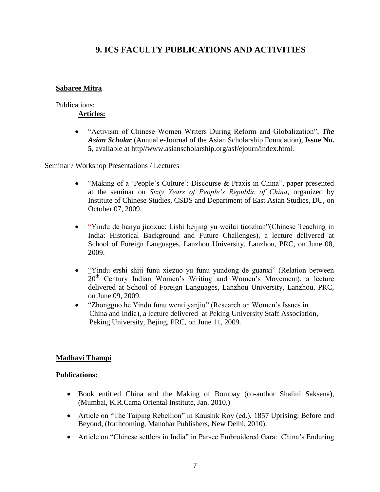### **9. ICS FACULTY PUBLICATIONS AND ACTIVITIES**

### **Sabaree Mitra**

#### Publications:

### **Articles:**

 "Activism of Chinese Women Writers During Reform and Globalization", *The Asian Scholar* (Annual e-Journal of the Asian Scholarship Foundation), **Issue No. 5**, available at http//www.asianscholarship.org/asf/ejourn/index.html.

Seminar / Workshop Presentations / Lectures

- "Making of a 'People's Culture': Discourse & Praxis in China", paper presented at the seminar on *Sixty Years of People's Republic of China*, organized by Institute of Chinese Studies, CSDS and Department of East Asian Studies, DU, on October 07, 2009.
- "Yindu de hanyu jiaoxue: Lishi beijing yu weilai tiaozhan"(Chinese Teaching in India: Historical Background and Future Challenges), a lecture delivered at School of Foreign Languages, Lanzhou University, Lanzhou, PRC, on June 08, 2009.
- "Yindu ershi shiji funu xiezuo yu funu yundong de guanxi" (Relation between 20<sup>th</sup> Century Indian Women's Writing and Women's Movement), a lecture delivered at School of Foreign Languages, Lanzhou University, Lanzhou, PRC, on June 09, 2009.
- "Zhongguo he Yindu funu wenti yanjiu" (Research on Women"s Issues in China and India), a lecture delivered at Peking University Staff Association, Peking University, Bejing, PRC, on June 11, 2009.

### **Madhavi Thampi**

### **Publications:**

- Book entitled China and the Making of Bombay (co-author Shalini Saksena), (Mumbai, K.R.Cama Oriental Institute, Jan. 2010.)
- Article on "The Taiping Rebellion" in Kaushik Roy (ed.), 1857 Uprising: Before and Beyond, (forthcoming, Manohar Publishers, New Delhi, 2010).
- Article on "Chinese settlers in India" in Parsee Embroidered Gara: China's Enduring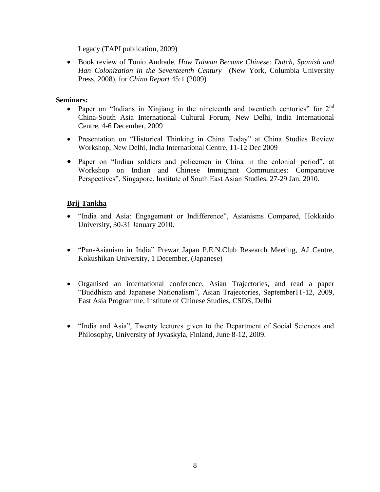Legacy (TAPI publication, 2009)

 Book review of Tonio Andrade, *How Taiwan Became Chinese: Dutch, Spanish and Han Colonization in the Seventeenth Century* (New York, Columbia University Press, 2008), for *China Report* 45:1 (2009)

### **Seminars:**

- Paper on "Indians in Xinjiang in the nineteenth and twentieth centuries" for  $2<sup>nd</sup>$ China-South Asia International Cultural Forum, New Delhi, India International Centre, 4-6 December, 2009
- Presentation on "Historical Thinking in China Today" at China Studies Review Workshop, New Delhi, India International Centre, 11-12 Dec 2009
- Paper on "Indian soldiers and policemen in China in the colonial period", at Workshop on Indian and Chinese Immigrant Communities: Comparative Perspectives", Singapore, Institute of South East Asian Studies, 27-29 Jan, 2010.

### **Brij Tankha**

- "India and Asia: Engagement or Indifference", Asianisms Compared, Hokkaido University, 30-31 January 2010.
- "Pan-Asianism in India" Prewar Japan P.E.N.Club Research Meeting, AJ Centre, Kokushikan University, 1 December, (Japanese)
- Organised an international conference, Asian Trajectories, and read a paper "Buddhism and Japanese Nationalism", Asian Trajectories, September11-12, 2009, East Asia Programme, Institute of Chinese Studies, CSDS, Delhi
- "India and Asia", Twenty lectures given to the Department of Social Sciences and Philosophy, University of Jyvaskyla, Finland, June 8-12, 2009.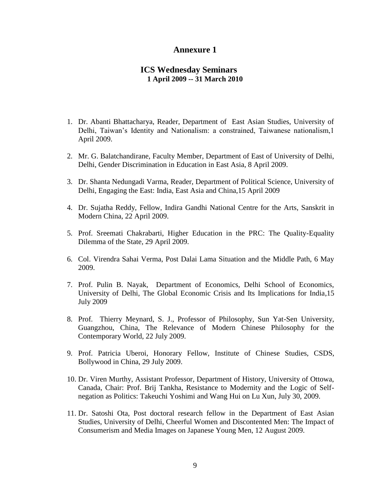### **Annexure 1**

#### **ICS Wednesday Seminars 1 April 2009 -- 31 March 2010**

- 1. Dr. Abanti Bhattacharya, Reader, Department of East Asian Studies, University of Delhi, Taiwan"s Identity and Nationalism: a constrained, Taiwanese nationalism,1 April 2009.
- 2. Mr. G. Balatchandirane, Faculty Member, Department of East of University of Delhi, Delhi, Gender Discrimination in Education in East Asia, 8 April 2009.
- 3. Dr. Shanta Nedungadi Varma, Reader, Department of Political Science, University of Delhi, Engaging the East: India, East Asia and China,15 April 2009
- 4. Dr. Sujatha Reddy, Fellow, Indira Gandhi National Centre for the Arts, Sanskrit in Modern China, 22 April 2009.
- 5. Prof. Sreemati Chakrabarti, Higher Education in the PRC: The Quality-Equality Dilemma of the State, 29 April 2009.
- 6. Col. Virendra Sahai Verma, Post Dalai Lama Situation and the Middle Path, 6 May 2009.
- 7. Prof. Pulin B. Nayak, Department of Economics, Delhi School of Economics, University of Delhi, The Global Economic Crisis and Its Implications for India,15 July 2009
- 8. Prof. Thierry Meynard, S. J., Professor of Philosophy, Sun Yat-Sen University, Guangzhou, China, The Relevance of Modern Chinese Philosophy for the Contemporary World, 22 July 2009.
- 9. Prof. Patricia Uberoi, Honorary Fellow, Institute of Chinese Studies, CSDS, Bollywood in China, 29 July 2009.
- 10. Dr. Viren Murthy, Assistant Professor, Department of History, University of Ottowa, Canada, Chair: Prof. Brij Tankha, Resistance to Modernity and the Logic of Selfnegation as Politics: Takeuchi Yoshimi and Wang Hui on Lu Xun, July 30, 2009.
- 11. Dr. Satoshi Ota, Post doctoral research fellow in the Department of East Asian Studies, University of Delhi, Cheerful Women and Discontented Men: The Impact of Consumerism and Media Images on Japanese Young Men, 12 August 2009.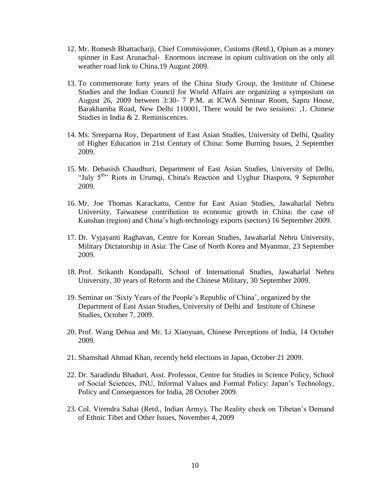- 12. Mr. Romesh Bhattacharji, Chief Commissioner, Customs (Retd.), Opium as a money spinner in East Arunachal- Enormous increase in opium cultivation on the only all weather road link to China,19 August 2009.
- 13. To commemorate forty years of the China Study Group, the Institute of Chinese Studies and the Indian Council for World Affairs are organizing a symposium on August 26, 2009 between 3:30- 7 P.M. at ICWA Seminar Room, Sapru House, Barakhamba Road, New Delhi 110001, There would be two sessions: ,1. Chinese Studies in India & 2. Reminiscences.
- 14. Ms. Sreeparna Roy, Department of East Asian Studies, University of Delhi, Quality of Higher Education in 21st Century of China: Some Burning Issues, 2 September 2009.
- 15. Mr. Debasish Chaudhuri, Department of East Asian Studies, University of Delhi, "July 5<sup>th</sup>" Riots in Urumqi, China's Reaction and Uyghur Diaspora, 9 September 2009.
- 16. Mr. Joe Thomas Karackattu, Centre for East Asian Studies, Jawaharlal Nehru University, Taiwanese contribution to economic growth in China: the case of Kunshan (region) and China"s high-technology exports (sectors) 16 September 2009.
- 17. Dr. Vyjayanti Raghavan, Centre for Korean Studies, Jawaharlal Nehru University, Military Dictatorship in Asia: The Case of North Korea and Myanmar, 23 September 2009.
- 18. Prof. Srikanth Kondapalli, School of International Studies, Jawaharlal Nehru University, 30 years of Reform and the Chinese Military, 30 September 2009.
- 19. Seminar on "Sixty Years of the People"s Republic of China", organized by the Department of East Asian Studies, University of Delhi and Institute of Chinese Studies, October 7, 2009.
- 20. Prof. Wang Dehua and Mr. Li Xiaoyuan, Chinese Perceptions of India, 14 October 2009.
- 21. Shamshad Ahmad Khan, recently held elections in Japan, October 21 2009.
- 22. Dr. Saradindu Bhaduri, Asst. Professor, Centre for Studies in Science Policy, School of Social Sciences, JNU, Informal Values and Formal Policy: Japan"s Technology, Policy and Consequences for India, 28 October 2009.
- 23. Col. Virendra Sahai (Retd., Indian Army), The Reality check on Tibetan"s Demand of Ethnic Tibet and Other Issues, November 4, 2009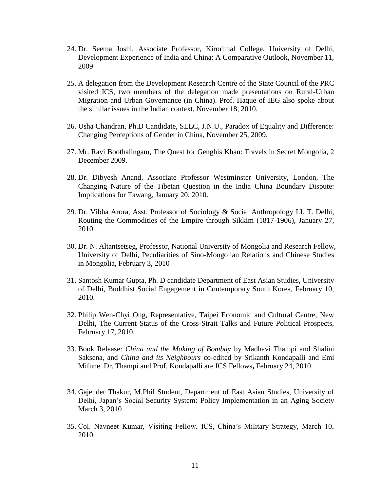- 24. Dr. Seema Joshi, Associate Professor, Kirorimal College, University of Delhi, Development Experience of India and China: A Comparative Outlook, November 11, 2009
- 25. A delegation from the Development Research Centre of the State Council of the PRC visited ICS, two members of the delegation made presentations on Rural-Urban Migration and Urban Governance (in China). Prof. Haque of IEG also spoke about the similar issues in the Indian context, November 18, 2010.
- 26. Usha Chandran, Ph.D Candidate, SLLC, J.N.U., Paradox of Equality and Difference: Changing Perceptions of Gender in China, November 25, 2009.
- 27. Mr. Ravi Boothalingam, The Quest for Genghis Khan: Travels in Secret Mongolia, 2 December 2009.
- 28. Dr. Dibyesh Anand, Associate Professor Westminster University, London, The Changing Nature of the Tibetan Question in the India–China Boundary Dispute: Implications for Tawang, January 20, 2010.
- 29. Dr. Vibha Arora, Asst. Professor of Sociology & Social Anthropology I.I. T. Delhi, Routing the Commodities of the Empire through Sikkim (1817-1906), January 27, 2010.
- 30. Dr. N. Altantsetseg, Professor, National University of Mongolia and Research Fellow, University of Delhi, Peculiarities of Sino-Mongolian Relations and Chinese Studies in Mongolia, February 3, 2010
- 31. Santosh Kumar Gupta, Ph. D candidate Department of East Asian Studies, University of Delhi, Buddhist Social Engagement in Contemporary South Korea, February 10, 2010.
- 32. Philip Wen-Chyi Ong, Representative, Taipei Economic and Cultural Centre, New Delhi, The Current Status of the Cross-Strait Talks and Future Political Prospects, February 17, 2010.
- 33. Book Release: *China and the Making of Bombay* by Madhavi Thampi and Shalini Saksena, and *China and its Neighbours* co-edited by Srikanth Kondapalli and Emi Mifune. Dr. Thampi and Prof. Kondapalli are ICS Fellows**,** February 24, 2010.
- 34. Gajender Thakur, M.Phil Student, Department of East Asian Studies, University of Delhi, Japan"s Social Security System: Policy Implementation in an Aging Society March 3, 2010
- 35. Col. Navneet Kumar, Visiting Fellow, ICS, China"s Military Strategy, March 10, 2010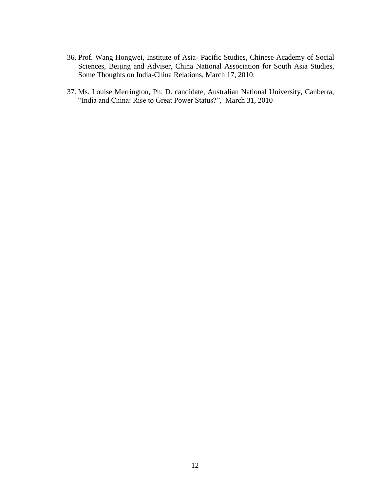- 36. Prof. Wang Hongwei, Institute of Asia- Pacific Studies, Chinese Academy of Social Sciences, Beijing and Adviser, China National Association for South Asia Studies, Some Thoughts on India-China Relations, March 17, 2010.
- 37. Ms. Louise Merrington, Ph. D. candidate, Australian National University, Canberra, "India and China: Rise to Great Power Status?", March 31, 2010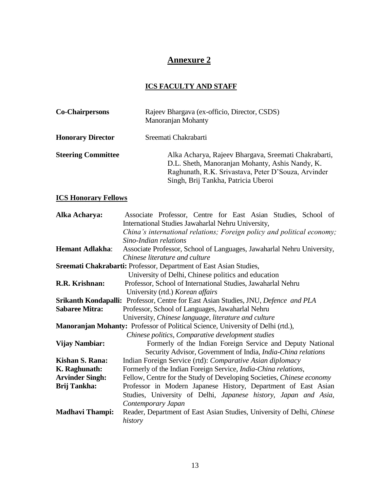## **Annexure 2**

### **ICS FACULTY AND STAFF**

| <b>Co-Chairpersons</b>    | Rajeev Bhargava (ex-officio, Director, CSDS)<br>Manoranjan Mohanty                                                                                                                                    |  |  |  |
|---------------------------|-------------------------------------------------------------------------------------------------------------------------------------------------------------------------------------------------------|--|--|--|
| <b>Honorary Director</b>  | Sreemati Chakrabarti                                                                                                                                                                                  |  |  |  |
| <b>Steering Committee</b> | Alka Acharya, Rajeev Bhargava, Sreemati Chakrabarti,<br>D.L. Sheth, Manoranjan Mohanty, Ashis Nandy, K.<br>Raghunath, R.K. Srivastava, Peter D'Souza, Arvinder<br>Singh, Brij Tankha, Patricia Uberoi |  |  |  |

### **ICS Honorary Fellows**

| Alka Acharya:                                                                         | Associate Professor, Centre for East Asian Studies, School of          |  |  |  |  |  |  |  |  |
|---------------------------------------------------------------------------------------|------------------------------------------------------------------------|--|--|--|--|--|--|--|--|
|                                                                                       | International Studies Jawaharlal Nehru University,                     |  |  |  |  |  |  |  |  |
|                                                                                       | China's international relations; Foreign policy and political economy; |  |  |  |  |  |  |  |  |
|                                                                                       | Sino-Indian relations                                                  |  |  |  |  |  |  |  |  |
| <b>Hemant Adlakha:</b>                                                                | Associate Professor, School of Languages, Jawaharlal Nehru University, |  |  |  |  |  |  |  |  |
|                                                                                       | Chinese literature and culture                                         |  |  |  |  |  |  |  |  |
| Sreemati Chakrabarti: Professor, Department of East Asian Studies,                    |                                                                        |  |  |  |  |  |  |  |  |
|                                                                                       | University of Delhi, Chinese politics and education                    |  |  |  |  |  |  |  |  |
| Professor, School of International Studies, Jawaharlal Nehru<br>R.R. Krishnan:        |                                                                        |  |  |  |  |  |  |  |  |
| University (rtd.) Korean affairs                                                      |                                                                        |  |  |  |  |  |  |  |  |
| Srikanth Kondapalli: Professor, Centre for East Asian Studies, JNU, Defence and PLA   |                                                                        |  |  |  |  |  |  |  |  |
| <b>Sabaree Mitra:</b>                                                                 | Professor, School of Languages, Jawaharlal Nehru                       |  |  |  |  |  |  |  |  |
|                                                                                       | University, Chinese language, literature and culture                   |  |  |  |  |  |  |  |  |
| Manoranjan Mohanty: Professor of Political Science, University of Delhi (rtd.),       |                                                                        |  |  |  |  |  |  |  |  |
|                                                                                       | Chinese politics, Comparative development studies                      |  |  |  |  |  |  |  |  |
| <b>Vijay Nambiar:</b>                                                                 | Formerly of the Indian Foreign Service and Deputy National             |  |  |  |  |  |  |  |  |
|                                                                                       | Security Advisor, Government of India, India-China relations           |  |  |  |  |  |  |  |  |
| Kishan S. Rana:                                                                       | Indian Foreign Service (rtd): Comparative Asian diplomacy              |  |  |  |  |  |  |  |  |
| K. Raghunath:                                                                         | Formerly of the Indian Foreign Service, <i>India-China relations</i> , |  |  |  |  |  |  |  |  |
| <b>Arvinder Singh:</b>                                                                | Fellow, Centre for the Study of Developing Societies, Chinese economy  |  |  |  |  |  |  |  |  |
| <b>Brij Tankha:</b><br>Professor in Modern Japanese History, Department of East Asian |                                                                        |  |  |  |  |  |  |  |  |
|                                                                                       | Studies, University of Delhi, Japanese history, Japan and Asia,        |  |  |  |  |  |  |  |  |
|                                                                                       | Contemporary Japan                                                     |  |  |  |  |  |  |  |  |
| <b>Madhavi Thampi:</b>                                                                | Reader, Department of East Asian Studies, University of Delhi, Chinese |  |  |  |  |  |  |  |  |
| history                                                                               |                                                                        |  |  |  |  |  |  |  |  |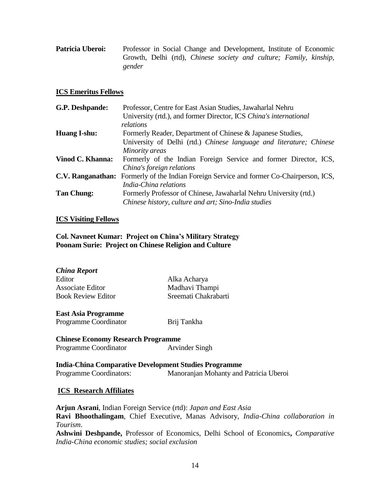| <b>Patricia Uberoi:</b> | Professor in Social Change and Development, Institute of Economic  |  |  |  |  |
|-------------------------|--------------------------------------------------------------------|--|--|--|--|
|                         | Growth, Delhi (rtd), Chinese society and culture; Family, kinship, |  |  |  |  |
|                         | gender                                                             |  |  |  |  |

#### **ICS Emeritus Fellows**

| G.P. Deshpande:     | Professor, Centre for East Asian Studies, Jawaharlal Nehru                                      |  |  |  |  |
|---------------------|-------------------------------------------------------------------------------------------------|--|--|--|--|
|                     | University (rtd.), and former Director, ICS China's international<br>relations                  |  |  |  |  |
|                     |                                                                                                 |  |  |  |  |
| <b>Huang I-shu:</b> | Formerly Reader, Department of Chinese & Japanese Studies,                                      |  |  |  |  |
|                     | University of Delhi (rtd.) Chinese language and literature; Chinese                             |  |  |  |  |
|                     | Minority areas                                                                                  |  |  |  |  |
| Vinod C. Khanna:    | Formerly of the Indian Foreign Service and former Director, ICS,                                |  |  |  |  |
|                     | China's foreign relations                                                                       |  |  |  |  |
|                     | <b>C.V. Ranganathan:</b> Formerly of the Indian Foreign Service and former Co-Chairperson, ICS, |  |  |  |  |
|                     | India-China relations                                                                           |  |  |  |  |
| <b>Tan Chung:</b>   | Formerly Professor of Chinese, Jawaharlal Nehru University (rtd.)                               |  |  |  |  |
|                     | Chinese history, culture and art; Sino-India studies                                            |  |  |  |  |
|                     |                                                                                                 |  |  |  |  |

#### **ICS Visiting Fellows**

**Col. Navneet Kumar: Project on China"s Military Strategy Poonam Surie: Project on Chinese Religion and Culture**

| <b>China Report</b>       |                      |
|---------------------------|----------------------|
| Editor                    | Alka Acharya         |
| Associate Editor          | Madhavi Thampi       |
| <b>Book Review Editor</b> | Sreemati Chakrabarti |
|                           |                      |

**East Asia Programme**

Programme Coordinator Brij Tankha

**Chinese Economy Research Programme** Programme Coordinator **Arvinder Singh** 

**India-China Comparative Development Studies Programme** Programme Coordinators: Manoranjan Mohanty and Patricia Uberoi

### **ICS Research Affiliates**

**Arjun Asrani**, Indian Foreign Service (rtd): *Japan and East Asia* **Ravi Bhoothalingam**, Chief Executive, Manas Advisory, *India-China collaboration in Tourism*. **Ashwini Deshpande,** Professor of Economics, Delhi School of Economics**,** *Comparative India-China economic studies; social exclusion*